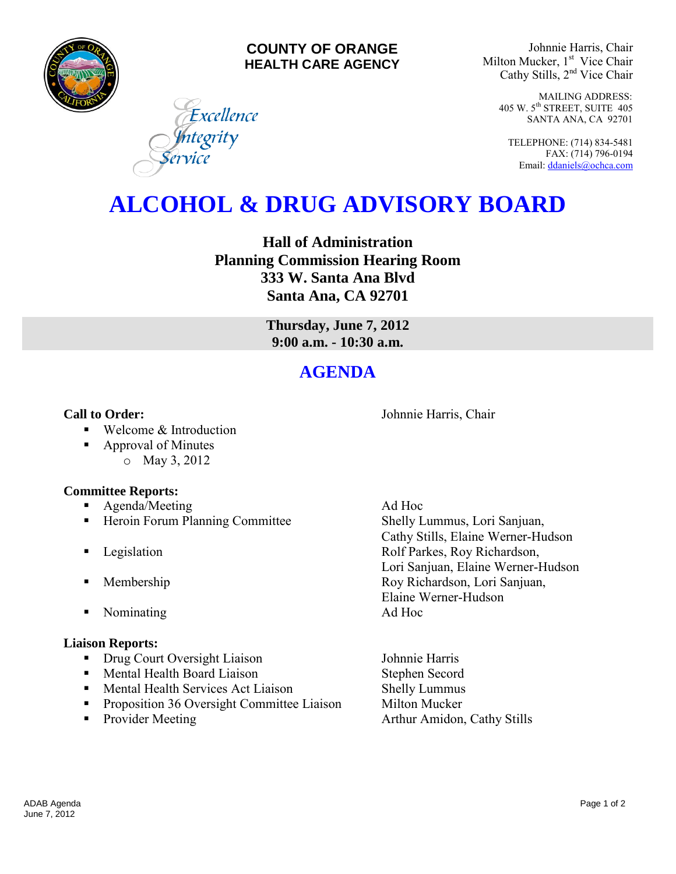

### **COUNTY OF ORANGE HEALTH CARE AGENCY**

Excellence

<mark>I</mark>ntegrity<br>ervice

Johnnie Harris, Chair Milton Mucker, 1<sup>st</sup> Vice Chair Cathy Stills, 2nd Vice Chair

> MAILING ADDRESS: 405 W. 5th STREET, SUITE 405 SANTA ANA, CA 92701

TELEPHONE: (714) 834-5481 FAX: (714) 796-0194 Email[: ddaniels@ochca.com](mailto:ddaniels@ochca.com)

# **ALCOHOL & DRUG ADVISORY BOARD**

**Hall of Administration Planning Commission Hearing Room 333 W. Santa Ana Blvd Santa Ana, CA 92701** 

> **Thursday, June 7, 2012 9:00 a.m. - 10:30 a.m.**

## **AGENDA**

**Call to Order: Call to Order: Johnnie Harris, Chair** 

- Welcome & Introduction
- Approval of Minutes o May 3, 2012

### **Committee Reports:**

- **Agenda/Meeting Ad Hoc**
- **Heroin Forum Planning Committee Shelly Lummus, Lori Sanjuan,**
- 
- 
- Nominating Ad Hoc

### **Liaison Reports:**

- Drug Court Oversight Liaison Johnnie Harris
- **Mental Health Board Liaison** Stephen Secord
- Mental Health Services Act Liaison Shelly Lummus
- **•** Proposition 36 Oversight Committee Liaison Milton Mucker
- 

 Cathy Stills, Elaine Werner-Hudson **Example 3** Legislation **Rolf Parkes, Roy Richardson,** Lori Sanjuan, Elaine Werner-Hudson **Membership Roy Richardson, Lori Sanjuan,** Elaine Werner-Hudson

• Provider Meeting **Arthur Amidon, Cathy Stills**